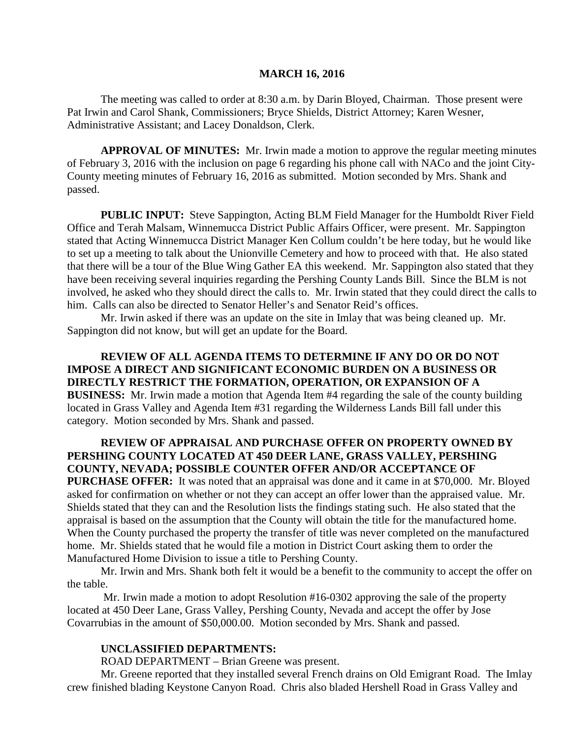### **MARCH 16, 2016**

The meeting was called to order at 8:30 a.m. by Darin Bloyed, Chairman. Those present were Pat Irwin and Carol Shank, Commissioners; Bryce Shields, District Attorney; Karen Wesner, Administrative Assistant; and Lacey Donaldson, Clerk.

**APPROVAL OF MINUTES:** Mr. Irwin made a motion to approve the regular meeting minutes of February 3, 2016 with the inclusion on page 6 regarding his phone call with NACo and the joint City-County meeting minutes of February 16, 2016 as submitted. Motion seconded by Mrs. Shank and passed.

 **PUBLIC INPUT:** Steve Sappington, Acting BLM Field Manager for the Humboldt River Field Office and Terah Malsam, Winnemucca District Public Affairs Officer, were present. Mr. Sappington stated that Acting Winnemucca District Manager Ken Collum couldn't be here today, but he would like to set up a meeting to talk about the Unionville Cemetery and how to proceed with that. He also stated that there will be a tour of the Blue Wing Gather EA this weekend. Mr. Sappington also stated that they have been receiving several inquiries regarding the Pershing County Lands Bill. Since the BLM is not involved, he asked who they should direct the calls to. Mr. Irwin stated that they could direct the calls to him. Calls can also be directed to Senator Heller's and Senator Reid's offices.

Mr. Irwin asked if there was an update on the site in Imlay that was being cleaned up. Mr. Sappington did not know, but will get an update for the Board.

**REVIEW OF ALL AGENDA ITEMS TO DETERMINE IF ANY DO OR DO NOT IMPOSE A DIRECT AND SIGNIFICANT ECONOMIC BURDEN ON A BUSINESS OR DIRECTLY RESTRICT THE FORMATION, OPERATION, OR EXPANSION OF A BUSINESS:** Mr. Irwin made a motion that Agenda Item #4 regarding the sale of the county building located in Grass Valley and Agenda Item #31 regarding the Wilderness Lands Bill fall under this category. Motion seconded by Mrs. Shank and passed.

### **REVIEW OF APPRAISAL AND PURCHASE OFFER ON PROPERTY OWNED BY PERSHING COUNTY LOCATED AT 450 DEER LANE, GRASS VALLEY, PERSHING COUNTY, NEVADA; POSSIBLE COUNTER OFFER AND/OR ACCEPTANCE OF**

**PURCHASE OFFER:** It was noted that an appraisal was done and it came in at \$70,000. Mr. Bloyed asked for confirmation on whether or not they can accept an offer lower than the appraised value. Mr. Shields stated that they can and the Resolution lists the findings stating such. He also stated that the appraisal is based on the assumption that the County will obtain the title for the manufactured home. When the County purchased the property the transfer of title was never completed on the manufactured home. Mr. Shields stated that he would file a motion in District Court asking them to order the Manufactured Home Division to issue a title to Pershing County.

Mr. Irwin and Mrs. Shank both felt it would be a benefit to the community to accept the offer on the table.

Mr. Irwin made a motion to adopt Resolution #16-0302 approving the sale of the property located at 450 Deer Lane, Grass Valley, Pershing County, Nevada and accept the offer by Jose Covarrubias in the amount of \$50,000.00. Motion seconded by Mrs. Shank and passed.

### **UNCLASSIFIED DEPARTMENTS:**

ROAD DEPARTMENT – Brian Greene was present.

Mr. Greene reported that they installed several French drains on Old Emigrant Road. The Imlay crew finished blading Keystone Canyon Road. Chris also bladed Hershell Road in Grass Valley and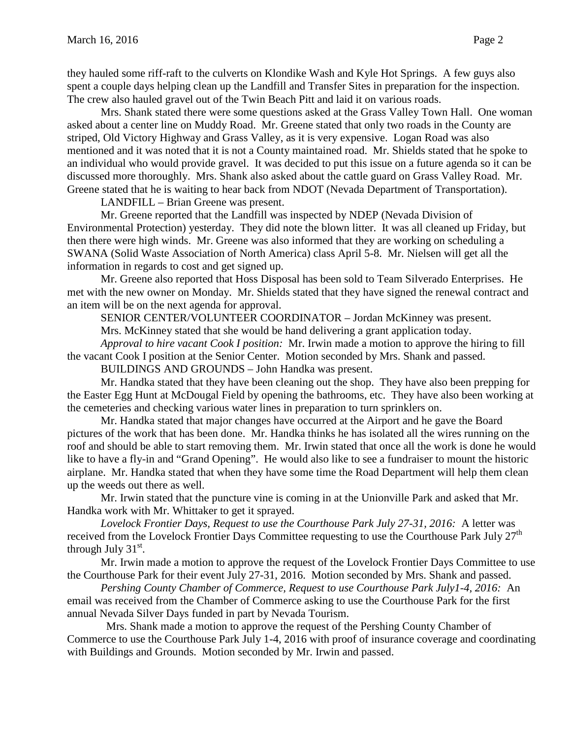they hauled some riff-raft to the culverts on Klondike Wash and Kyle Hot Springs. A few guys also spent a couple days helping clean up the Landfill and Transfer Sites in preparation for the inspection. The crew also hauled gravel out of the Twin Beach Pitt and laid it on various roads.

Mrs. Shank stated there were some questions asked at the Grass Valley Town Hall. One woman asked about a center line on Muddy Road. Mr. Greene stated that only two roads in the County are striped, Old Victory Highway and Grass Valley, as it is very expensive. Logan Road was also mentioned and it was noted that it is not a County maintained road. Mr. Shields stated that he spoke to an individual who would provide gravel. It was decided to put this issue on a future agenda so it can be discussed more thoroughly. Mrs. Shank also asked about the cattle guard on Grass Valley Road. Mr. Greene stated that he is waiting to hear back from NDOT (Nevada Department of Transportation).

LANDFILL – Brian Greene was present.

Mr. Greene reported that the Landfill was inspected by NDEP (Nevada Division of Environmental Protection) yesterday. They did note the blown litter. It was all cleaned up Friday, but then there were high winds. Mr. Greene was also informed that they are working on scheduling a SWANA (Solid Waste Association of North America) class April 5-8. Mr. Nielsen will get all the information in regards to cost and get signed up.

Mr. Greene also reported that Hoss Disposal has been sold to Team Silverado Enterprises. He met with the new owner on Monday. Mr. Shields stated that they have signed the renewal contract and an item will be on the next agenda for approval.

SENIOR CENTER/VOLUNTEER COORDINATOR – Jordan McKinney was present.

Mrs. McKinney stated that she would be hand delivering a grant application today.

*Approval to hire vacant Cook I position:* Mr. Irwin made a motion to approve the hiring to fill the vacant Cook I position at the Senior Center. Motion seconded by Mrs. Shank and passed.

BUILDINGS AND GROUNDS – John Handka was present.

Mr. Handka stated that they have been cleaning out the shop. They have also been prepping for the Easter Egg Hunt at McDougal Field by opening the bathrooms, etc. They have also been working at the cemeteries and checking various water lines in preparation to turn sprinklers on.

Mr. Handka stated that major changes have occurred at the Airport and he gave the Board pictures of the work that has been done. Mr. Handka thinks he has isolated all the wires running on the roof and should be able to start removing them. Mr. Irwin stated that once all the work is done he would like to have a fly-in and "Grand Opening". He would also like to see a fundraiser to mount the historic airplane. Mr. Handka stated that when they have some time the Road Department will help them clean up the weeds out there as well.

Mr. Irwin stated that the puncture vine is coming in at the Unionville Park and asked that Mr. Handka work with Mr. Whittaker to get it sprayed.

*Lovelock Frontier Days, Request to use the Courthouse Park July 27-31, 2016:* A letter was received from the Lovelock Frontier Days Committee requesting to use the Courthouse Park July  $27<sup>th</sup>$ through July  $31<sup>st</sup>$ .

Mr. Irwin made a motion to approve the request of the Lovelock Frontier Days Committee to use the Courthouse Park for their event July 27-31, 2016. Motion seconded by Mrs. Shank and passed.

*Pershing County Chamber of Commerce, Request to use Courthouse Park July1-4, 2016:* An email was received from the Chamber of Commerce asking to use the Courthouse Park for the first annual Nevada Silver Days funded in part by Nevada Tourism.

 Mrs. Shank made a motion to approve the request of the Pershing County Chamber of Commerce to use the Courthouse Park July 1-4, 2016 with proof of insurance coverage and coordinating with Buildings and Grounds. Motion seconded by Mr. Irwin and passed.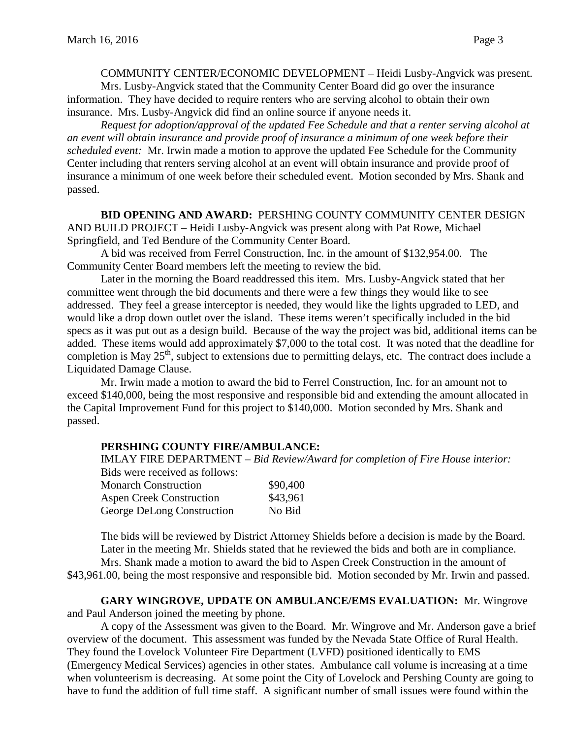COMMUNITY CENTER/ECONOMIC DEVELOPMENT – Heidi Lusby-Angvick was present. Mrs. Lusby-Angvick stated that the Community Center Board did go over the insurance information. They have decided to require renters who are serving alcohol to obtain their own insurance. Mrs. Lusby-Angvick did find an online source if anyone needs it.

*Request for adoption/approval of the updated Fee Schedule and that a renter serving alcohol at an event will obtain insurance and provide proof of insurance a minimum of one week before their scheduled event:* Mr. Irwin made a motion to approve the updated Fee Schedule for the Community Center including that renters serving alcohol at an event will obtain insurance and provide proof of insurance a minimum of one week before their scheduled event. Motion seconded by Mrs. Shank and passed.

**BID OPENING AND AWARD:** PERSHING COUNTY COMMUNITY CENTER DESIGN AND BUILD PROJECT – Heidi Lusby-Angvick was present along with Pat Rowe, Michael Springfield, and Ted Bendure of the Community Center Board.

A bid was received from Ferrel Construction, Inc. in the amount of \$132,954.00. The Community Center Board members left the meeting to review the bid.

Later in the morning the Board readdressed this item. Mrs. Lusby-Angvick stated that her committee went through the bid documents and there were a few things they would like to see addressed. They feel a grease interceptor is needed, they would like the lights upgraded to LED, and would like a drop down outlet over the island. These items weren't specifically included in the bid specs as it was put out as a design build. Because of the way the project was bid, additional items can be added. These items would add approximately \$7,000 to the total cost. It was noted that the deadline for completion is May  $25<sup>th</sup>$ , subject to extensions due to permitting delays, etc. The contract does include a Liquidated Damage Clause.

Mr. Irwin made a motion to award the bid to Ferrel Construction, Inc. for an amount not to exceed \$140,000, being the most responsive and responsible bid and extending the amount allocated in the Capital Improvement Fund for this project to \$140,000. Motion seconded by Mrs. Shank and passed.

## **PERSHING COUNTY FIRE/AMBULANCE:**

IMLAY FIRE DEPARTMENT – *Bid Review/Award for completion of Fire House interior:* Bids were received as follows: Monarch Construction  $$90,400$ 

| <b>Aspen Creek Construction</b>   | \$43,961 |
|-----------------------------------|----------|
| <b>George DeLong Construction</b> | No Bid   |

The bids will be reviewed by District Attorney Shields before a decision is made by the Board. Later in the meeting Mr. Shields stated that he reviewed the bids and both are in compliance.

Mrs. Shank made a motion to award the bid to Aspen Creek Construction in the amount of \$43,961.00, being the most responsive and responsible bid. Motion seconded by Mr. Irwin and passed.

### **GARY WINGROVE, UPDATE ON AMBULANCE/EMS EVALUATION:** Mr. Wingrove and Paul Anderson joined the meeting by phone.

A copy of the Assessment was given to the Board. Mr. Wingrove and Mr. Anderson gave a brief overview of the document. This assessment was funded by the Nevada State Office of Rural Health. They found the Lovelock Volunteer Fire Department (LVFD) positioned identically to EMS (Emergency Medical Services) agencies in other states. Ambulance call volume is increasing at a time when volunteerism is decreasing. At some point the City of Lovelock and Pershing County are going to have to fund the addition of full time staff. A significant number of small issues were found within the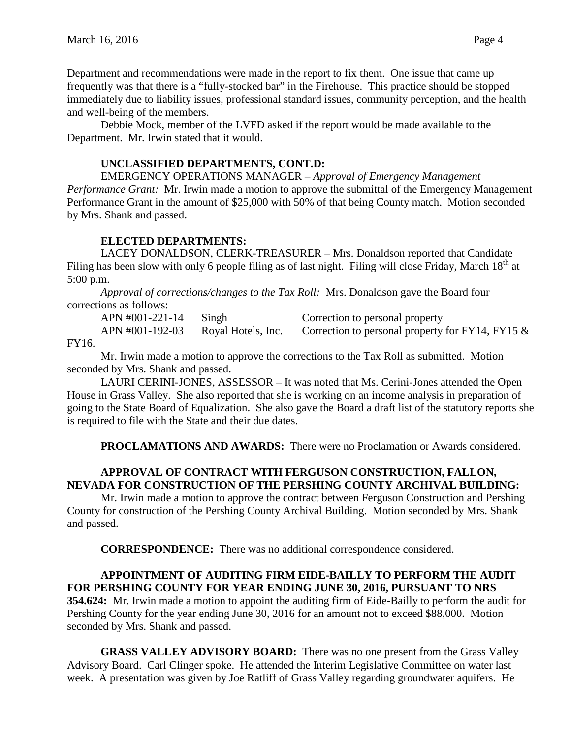Department and recommendations were made in the report to fix them. One issue that came up frequently was that there is a "fully-stocked bar" in the Firehouse. This practice should be stopped immediately due to liability issues, professional standard issues, community perception, and the health and well-being of the members.

Debbie Mock, member of the LVFD asked if the report would be made available to the Department. Mr. Irwin stated that it would.

## **UNCLASSIFIED DEPARTMENTS, CONT.D:**

EMERGENCY OPERATIONS MANAGER – *Approval of Emergency Management Performance Grant:* Mr. Irwin made a motion to approve the submittal of the Emergency Management Performance Grant in the amount of \$25,000 with 50% of that being County match. Motion seconded by Mrs. Shank and passed.

# **ELECTED DEPARTMENTS:**

LACEY DONALDSON, CLERK-TREASURER – Mrs. Donaldson reported that Candidate Filing has been slow with only 6 people filing as of last night. Filing will close Friday, March  $18<sup>th</sup>$  at 5:00 p.m.

*Approval of corrections/changes to the Tax Roll:* Mrs. Donaldson gave the Board four corrections as follows:

APN #001-221-14 Singh Correction to personal property APN #001-192-03 Royal Hotels, Inc. Correction to personal property for FY14, FY15 &

## FY16.

Mr. Irwin made a motion to approve the corrections to the Tax Roll as submitted. Motion seconded by Mrs. Shank and passed.

LAURI CERINI-JONES, ASSESSOR – It was noted that Ms. Cerini-Jones attended the Open House in Grass Valley. She also reported that she is working on an income analysis in preparation of going to the State Board of Equalization. She also gave the Board a draft list of the statutory reports she is required to file with the State and their due dates.

**PROCLAMATIONS AND AWARDS:** There were no Proclamation or Awards considered.

# **APPROVAL OF CONTRACT WITH FERGUSON CONSTRUCTION, FALLON, NEVADA FOR CONSTRUCTION OF THE PERSHING COUNTY ARCHIVAL BUILDING:**

Mr. Irwin made a motion to approve the contract between Ferguson Construction and Pershing County for construction of the Pershing County Archival Building. Motion seconded by Mrs. Shank and passed.

**CORRESPONDENCE:** There was no additional correspondence considered.

# **APPOINTMENT OF AUDITING FIRM EIDE-BAILLY TO PERFORM THE AUDIT FOR PERSHING COUNTY FOR YEAR ENDING JUNE 30, 2016, PURSUANT TO NRS**

**354.624:** Mr. Irwin made a motion to appoint the auditing firm of Eide-Bailly to perform the audit for Pershing County for the year ending June 30, 2016 for an amount not to exceed \$88,000. Motion seconded by Mrs. Shank and passed.

**GRASS VALLEY ADVISORY BOARD:** There was no one present from the Grass Valley Advisory Board. Carl Clinger spoke. He attended the Interim Legislative Committee on water last week. A presentation was given by Joe Ratliff of Grass Valley regarding groundwater aquifers. He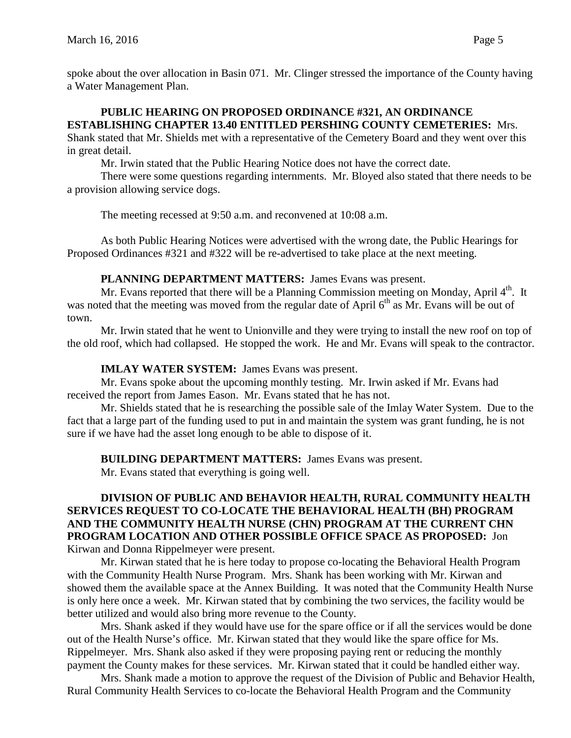## **PUBLIC HEARING ON PROPOSED ORDINANCE #321, AN ORDINANCE ESTABLISHING CHAPTER 13.40 ENTITLED PERSHING COUNTY CEMETERIES:** Mrs.

Shank stated that Mr. Shields met with a representative of the Cemetery Board and they went over this in great detail.

Mr. Irwin stated that the Public Hearing Notice does not have the correct date.

There were some questions regarding internments. Mr. Bloyed also stated that there needs to be a provision allowing service dogs.

The meeting recessed at 9:50 a.m. and reconvened at 10:08 a.m.

As both Public Hearing Notices were advertised with the wrong date, the Public Hearings for Proposed Ordinances #321 and #322 will be re-advertised to take place at the next meeting.

## **PLANNING DEPARTMENT MATTERS:** James Evans was present.

Mr. Evans reported that there will be a Planning Commission meeting on Monday, April  $4<sup>th</sup>$ . It was noted that the meeting was moved from the regular date of April  $6<sup>th</sup>$  as Mr. Evans will be out of town.

Mr. Irwin stated that he went to Unionville and they were trying to install the new roof on top of the old roof, which had collapsed. He stopped the work. He and Mr. Evans will speak to the contractor.

## **IMLAY WATER SYSTEM:** James Evans was present.

Mr. Evans spoke about the upcoming monthly testing. Mr. Irwin asked if Mr. Evans had received the report from James Eason. Mr. Evans stated that he has not.

Mr. Shields stated that he is researching the possible sale of the Imlay Water System. Due to the fact that a large part of the funding used to put in and maintain the system was grant funding, he is not sure if we have had the asset long enough to be able to dispose of it.

**BUILDING DEPARTMENT MATTERS:** James Evans was present.

Mr. Evans stated that everything is going well.

## **DIVISION OF PUBLIC AND BEHAVIOR HEALTH, RURAL COMMUNITY HEALTH SERVICES REQUEST TO CO-LOCATE THE BEHAVIORAL HEALTH (BH) PROGRAM AND THE COMMUNITY HEALTH NURSE (CHN) PROGRAM AT THE CURRENT CHN PROGRAM LOCATION AND OTHER POSSIBLE OFFICE SPACE AS PROPOSED:** Jon Kirwan and Donna Rippelmeyer were present.

Mr. Kirwan stated that he is here today to propose co-locating the Behavioral Health Program with the Community Health Nurse Program. Mrs. Shank has been working with Mr. Kirwan and showed them the available space at the Annex Building. It was noted that the Community Health Nurse is only here once a week. Mr. Kirwan stated that by combining the two services, the facility would be better utilized and would also bring more revenue to the County.

Mrs. Shank asked if they would have use for the spare office or if all the services would be done out of the Health Nurse's office. Mr. Kirwan stated that they would like the spare office for Ms. Rippelmeyer. Mrs. Shank also asked if they were proposing paying rent or reducing the monthly payment the County makes for these services. Mr. Kirwan stated that it could be handled either way.

Mrs. Shank made a motion to approve the request of the Division of Public and Behavior Health, Rural Community Health Services to co-locate the Behavioral Health Program and the Community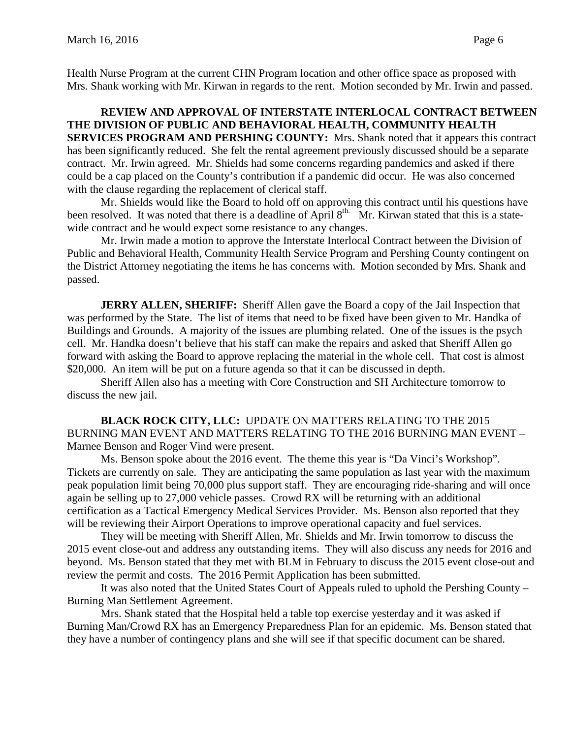Health Nurse Program at the current CHN Program location and other office space as proposed with Mrs. Shank working with Mr. Kirwan in regards to the rent. Motion seconded by Mr. Irwin and passed.

# **REVIEW AND APPROVAL OF INTERSTATE INTERLOCAL CONTRACT BETWEEN THE DIVISION OF PUBLIC AND BEHAVIORAL HEALTH, COMMUNITY HEALTH**

**SERVICES PROGRAM AND PERSHING COUNTY:** Mrs. Shank noted that it appears this contract has been significantly reduced. She felt the rental agreement previously discussed should be a separate contract. Mr. Irwin agreed. Mr. Shields had some concerns regarding pandemics and asked if there could be a cap placed on the County's contribution if a pandemic did occur. He was also concerned with the clause regarding the replacement of clerical staff.

Mr. Shields would like the Board to hold off on approving this contract until his questions have been resolved. It was noted that there is a deadline of April 8<sup>th.</sup> Mr. Kirwan stated that this is a statewide contract and he would expect some resistance to any changes.

Mr. Irwin made a motion to approve the Interstate Interlocal Contract between the Division of Public and Behavioral Health, Community Health Service Program and Pershing County contingent on the District Attorney negotiating the items he has concerns with. Motion seconded by Mrs. Shank and passed.

**JERRY ALLEN, SHERIFF:** Sheriff Allen gave the Board a copy of the Jail Inspection that was performed by the State. The list of items that need to be fixed have been given to Mr. Handka of Buildings and Grounds. A majority of the issues are plumbing related. One of the issues is the psych cell. Mr. Handka doesn't believe that his staff can make the repairs and asked that Sheriff Allen go forward with asking the Board to approve replacing the material in the whole cell. That cost is almost \$20,000. An item will be put on a future agenda so that it can be discussed in depth.

Sheriff Allen also has a meeting with Core Construction and SH Architecture tomorrow to discuss the new jail.

**BLACK ROCK CITY, LLC:** UPDATE ON MATTERS RELATING TO THE 2015 BURNING MAN EVENT AND MATTERS RELATING TO THE 2016 BURNING MAN EVENT – Marnee Benson and Roger Vind were present.

Ms. Benson spoke about the 2016 event. The theme this year is "Da Vinci's Workshop". Tickets are currently on sale. They are anticipating the same population as last year with the maximum peak population limit being 70,000 plus support staff. They are encouraging ride-sharing and will once again be selling up to 27,000 vehicle passes. Crowd RX will be returning with an additional certification as a Tactical Emergency Medical Services Provider. Ms. Benson also reported that they will be reviewing their Airport Operations to improve operational capacity and fuel services.

They will be meeting with Sheriff Allen, Mr. Shields and Mr. Irwin tomorrow to discuss the 2015 event close-out and address any outstanding items. They will also discuss any needs for 2016 and beyond. Ms. Benson stated that they met with BLM in February to discuss the 2015 event close-out and review the permit and costs. The 2016 Permit Application has been submitted.

It was also noted that the United States Court of Appeals ruled to uphold the Pershing County – Burning Man Settlement Agreement.

Mrs. Shank stated that the Hospital held a table top exercise yesterday and it was asked if Burning Man/Crowd RX has an Emergency Preparedness Plan for an epidemic. Ms. Benson stated that they have a number of contingency plans and she will see if that specific document can be shared.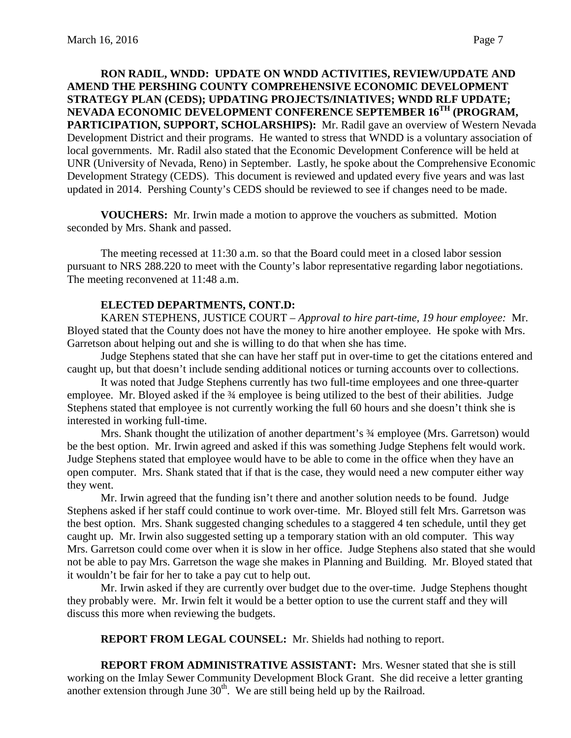**RON RADIL, WNDD: UPDATE ON WNDD ACTIVITIES, REVIEW/UPDATE AND AMEND THE PERSHING COUNTY COMPREHENSIVE ECONOMIC DEVELOPMENT STRATEGY PLAN (CEDS); UPDATING PROJECTS/INIATIVES; WNDD RLF UPDATE; NEVADA ECONOMIC DEVELOPMENT CONFERENCE SEPTEMBER 16TH (PROGRAM, PARTICIPATION, SUPPORT, SCHOLARSHIPS):** Mr. Radil gave an overview of Western Nevada Development District and their programs. He wanted to stress that WNDD is a voluntary association of local governments. Mr. Radil also stated that the Economic Development Conference will be held at UNR (University of Nevada, Reno) in September. Lastly, he spoke about the Comprehensive Economic Development Strategy (CEDS). This document is reviewed and updated every five years and was last updated in 2014. Pershing County's CEDS should be reviewed to see if changes need to be made.

**VOUCHERS:** Mr. Irwin made a motion to approve the vouchers as submitted. Motion seconded by Mrs. Shank and passed.

The meeting recessed at 11:30 a.m. so that the Board could meet in a closed labor session pursuant to NRS 288.220 to meet with the County's labor representative regarding labor negotiations. The meeting reconvened at 11:48 a.m.

## **ELECTED DEPARTMENTS, CONT.D:**

KAREN STEPHENS, JUSTICE COURT – *Approval to hire part-time, 19 hour employee:* Mr. Bloyed stated that the County does not have the money to hire another employee. He spoke with Mrs. Garretson about helping out and she is willing to do that when she has time.

Judge Stephens stated that she can have her staff put in over-time to get the citations entered and caught up, but that doesn't include sending additional notices or turning accounts over to collections.

It was noted that Judge Stephens currently has two full-time employees and one three-quarter employee. Mr. Bloyed asked if the <sup>3</sup>/4 employee is being utilized to the best of their abilities. Judge Stephens stated that employee is not currently working the full 60 hours and she doesn't think she is interested in working full-time.

Mrs. Shank thought the utilization of another department's  $\frac{3}{4}$  employee (Mrs. Garretson) would be the best option. Mr. Irwin agreed and asked if this was something Judge Stephens felt would work. Judge Stephens stated that employee would have to be able to come in the office when they have an open computer. Mrs. Shank stated that if that is the case, they would need a new computer either way they went.

Mr. Irwin agreed that the funding isn't there and another solution needs to be found. Judge Stephens asked if her staff could continue to work over-time. Mr. Bloyed still felt Mrs. Garretson was the best option. Mrs. Shank suggested changing schedules to a staggered 4 ten schedule, until they get caught up. Mr. Irwin also suggested setting up a temporary station with an old computer. This way Mrs. Garretson could come over when it is slow in her office. Judge Stephens also stated that she would not be able to pay Mrs. Garretson the wage she makes in Planning and Building. Mr. Bloyed stated that it wouldn't be fair for her to take a pay cut to help out.

Mr. Irwin asked if they are currently over budget due to the over-time. Judge Stephens thought they probably were. Mr. Irwin felt it would be a better option to use the current staff and they will discuss this more when reviewing the budgets.

**REPORT FROM LEGAL COUNSEL:** Mr. Shields had nothing to report.

**REPORT FROM ADMINISTRATIVE ASSISTANT:** Mrs. Wesner stated that she is still working on the Imlay Sewer Community Development Block Grant. She did receive a letter granting another extension through June  $30<sup>th</sup>$ . We are still being held up by the Railroad.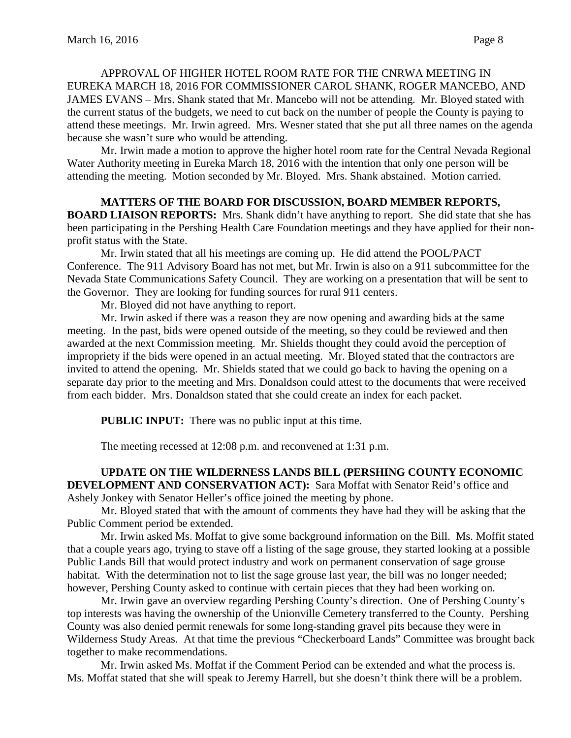APPROVAL OF HIGHER HOTEL ROOM RATE FOR THE CNRWA MEETING IN EUREKA MARCH 18, 2016 FOR COMMISSIONER CAROL SHANK, ROGER MANCEBO, AND JAMES EVANS – Mrs. Shank stated that Mr. Mancebo will not be attending. Mr. Bloyed stated with the current status of the budgets, we need to cut back on the number of people the County is paying to attend these meetings. Mr. Irwin agreed. Mrs. Wesner stated that she put all three names on the agenda because she wasn't sure who would be attending.

Mr. Irwin made a motion to approve the higher hotel room rate for the Central Nevada Regional Water Authority meeting in Eureka March 18, 2016 with the intention that only one person will be attending the meeting. Motion seconded by Mr. Bloyed. Mrs. Shank abstained. Motion carried.

**MATTERS OF THE BOARD FOR DISCUSSION, BOARD MEMBER REPORTS, BOARD LIAISON REPORTS:** Mrs. Shank didn't have anything to report. She did state that she has been participating in the Pershing Health Care Foundation meetings and they have applied for their nonprofit status with the State.

Mr. Irwin stated that all his meetings are coming up. He did attend the POOL/PACT Conference. The 911 Advisory Board has not met, but Mr. Irwin is also on a 911 subcommittee for the Nevada State Communications Safety Council. They are working on a presentation that will be sent to the Governor. They are looking for funding sources for rural 911 centers.

Mr. Bloyed did not have anything to report.

Mr. Irwin asked if there was a reason they are now opening and awarding bids at the same meeting. In the past, bids were opened outside of the meeting, so they could be reviewed and then awarded at the next Commission meeting. Mr. Shields thought they could avoid the perception of impropriety if the bids were opened in an actual meeting. Mr. Bloyed stated that the contractors are invited to attend the opening. Mr. Shields stated that we could go back to having the opening on a separate day prior to the meeting and Mrs. Donaldson could attest to the documents that were received from each bidder. Mrs. Donaldson stated that she could create an index for each packet.

**PUBLIC INPUT:** There was no public input at this time.

The meeting recessed at 12:08 p.m. and reconvened at 1:31 p.m.

## **UPDATE ON THE WILDERNESS LANDS BILL (PERSHING COUNTY ECONOMIC DEVELOPMENT AND CONSERVATION ACT):** Sara Moffat with Senator Reid's office and Ashely Jonkey with Senator Heller's office joined the meeting by phone.

Mr. Bloyed stated that with the amount of comments they have had they will be asking that the Public Comment period be extended.

Mr. Irwin asked Ms. Moffat to give some background information on the Bill. Ms. Moffit stated that a couple years ago, trying to stave off a listing of the sage grouse, they started looking at a possible Public Lands Bill that would protect industry and work on permanent conservation of sage grouse habitat. With the determination not to list the sage grouse last year, the bill was no longer needed; however, Pershing County asked to continue with certain pieces that they had been working on.

Mr. Irwin gave an overview regarding Pershing County's direction. One of Pershing County's top interests was having the ownership of the Unionville Cemetery transferred to the County. Pershing County was also denied permit renewals for some long-standing gravel pits because they were in Wilderness Study Areas. At that time the previous "Checkerboard Lands" Committee was brought back together to make recommendations.

Mr. Irwin asked Ms. Moffat if the Comment Period can be extended and what the process is. Ms. Moffat stated that she will speak to Jeremy Harrell, but she doesn't think there will be a problem.